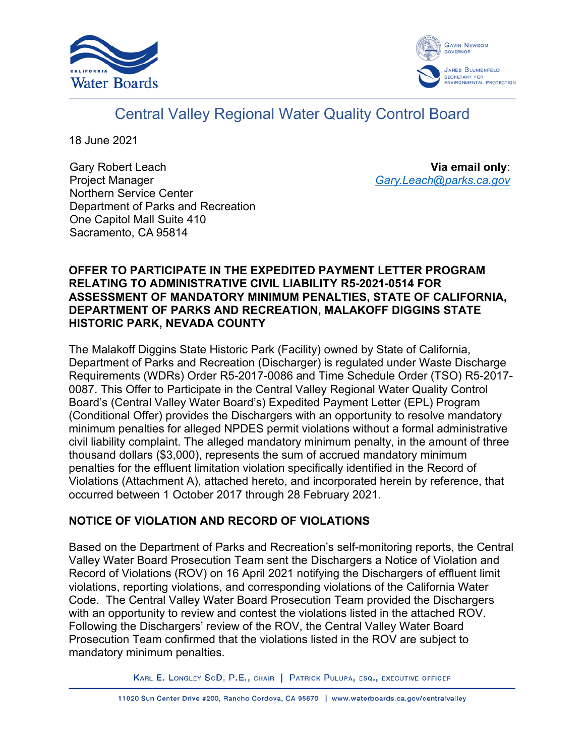



# Central Valley Regional Water Quality Control Board

18 June 2021

Gary Robert Leach Project Manager Northern Service Center Department of Parks and Recreation One Capitol Mall Suite 410 Sacramento, CA 95814

**Via email only**: *[Gary.Leach@parks.ca.gov](mailto:Gary.Leach@parks.ca.gov)*

### **OFFER TO PARTICIPATE IN THE EXPEDITED PAYMENT LETTER PROGRAM RELATING TO ADMINISTRATIVE CIVIL LIABILITY R5-2021-0514 FOR ASSESSMENT OF MANDATORY MINIMUM PENALTIES, STATE OF CALIFORNIA, DEPARTMENT OF PARKS AND RECREATION, MALAKOFF DIGGINS STATE HISTORIC PARK, NEVADA COUNTY**

The Malakoff Diggins State Historic Park (Facility) owned by State of California, Department of Parks and Recreation (Discharger) is regulated under Waste Discharge Requirements (WDRs) Order R5-2017-0086 and Time Schedule Order (TSO) R5-2017- 0087. This Offer to Participate in the Central Valley Regional Water Quality Control Board's (Central Valley Water Board's) Expedited Payment Letter (EPL) Program (Conditional Offer) provides the Dischargers with an opportunity to resolve mandatory minimum penalties for alleged NPDES permit violations without a formal administrative civil liability complaint. The alleged mandatory minimum penalty, in the amount of three thousand dollars (\$3,000), represents the sum of accrued mandatory minimum penalties for the effluent limitation violation specifically identified in the Record of Violations (Attachment A), attached hereto, and incorporated herein by reference, that occurred between 1 October 2017 through 28 February 2021.

# **NOTICE OF VIOLATION AND RECORD OF VIOLATIONS**

Based on the Department of Parks and Recreation's self-monitoring reports, the Central Valley Water Board Prosecution Team sent the Dischargers a Notice of Violation and Record of Violations (ROV) on 16 April 2021 notifying the Dischargers of effluent limit violations, reporting violations, and corresponding violations of the California Water Code. The Central Valley Water Board Prosecution Team provided the Dischargers with an opportunity to review and contest the violations listed in the attached ROV. Following the Dischargers' review of the ROV, the Central Valley Water Board Prosecution Team confirmed that the violations listed in the ROV are subject to mandatory minimum penalties.

KARL E. LONGLEY SCD, P.E., CHAIR | PATRICK PULUPA, ESQ., EXECUTIVE OFFICER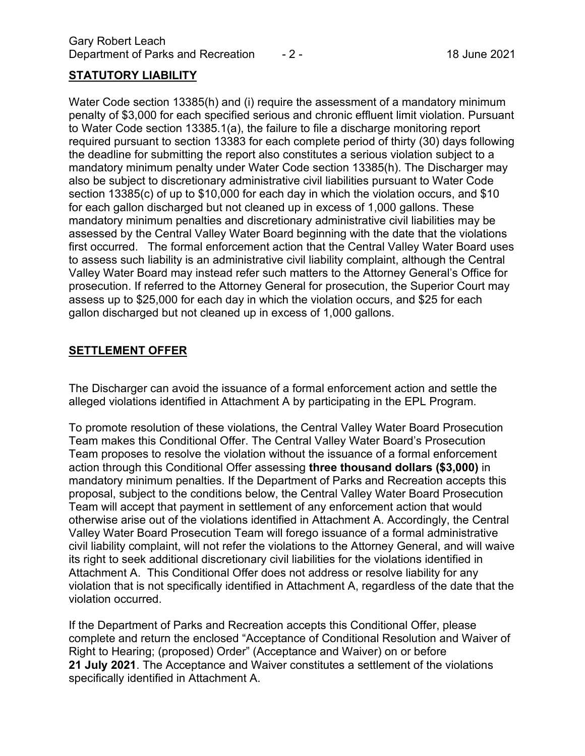### **STATUTORY LIABILITY**

Water Code section 13385(h) and (i) require the assessment of a mandatory minimum penalty of \$3,000 for each specified serious and chronic effluent limit violation. Pursuant to Water Code section 13385.1(a), the failure to file a discharge monitoring report required pursuant to section 13383 for each complete period of thirty (30) days following the deadline for submitting the report also constitutes a serious violation subject to a mandatory minimum penalty under Water Code section 13385(h). The Discharger may also be subject to discretionary administrative civil liabilities pursuant to Water Code section 13385(c) of up to \$10,000 for each day in which the violation occurs, and \$10 for each gallon discharged but not cleaned up in excess of 1,000 gallons. These mandatory minimum penalties and discretionary administrative civil liabilities may be assessed by the Central Valley Water Board beginning with the date that the violations first occurred. The formal enforcement action that the Central Valley Water Board uses to assess such liability is an administrative civil liability complaint, although the Central Valley Water Board may instead refer such matters to the Attorney General's Office for prosecution. If referred to the Attorney General for prosecution, the Superior Court may assess up to \$25,000 for each day in which the violation occurs, and \$25 for each gallon discharged but not cleaned up in excess of 1,000 gallons.

### **SETTLEMENT OFFER**

The Discharger can avoid the issuance of a formal enforcement action and settle the alleged violations identified in Attachment A by participating in the EPL Program.

To promote resolution of these violations, the Central Valley Water Board Prosecution Team makes this Conditional Offer. The Central Valley Water Board's Prosecution Team proposes to resolve the violation without the issuance of a formal enforcement action through this Conditional Offer assessing **three thousand dollars (\$3,000)** in mandatory minimum penalties. If the Department of Parks and Recreation accepts this proposal, subject to the conditions below, the Central Valley Water Board Prosecution Team will accept that payment in settlement of any enforcement action that would otherwise arise out of the violations identified in Attachment A. Accordingly, the Central Valley Water Board Prosecution Team will forego issuance of a formal administrative civil liability complaint, will not refer the violations to the Attorney General, and will waive its right to seek additional discretionary civil liabilities for the violations identified in Attachment A. This Conditional Offer does not address or resolve liability for any violation that is not specifically identified in Attachment A, regardless of the date that the violation occurred.

If the Department of Parks and Recreation accepts this Conditional Offer, please complete and return the enclosed "Acceptance of Conditional Resolution and Waiver of Right to Hearing; (proposed) Order" (Acceptance and Waiver) on or before **21 July 2021**. The Acceptance and Waiver constitutes a settlement of the violations specifically identified in Attachment A.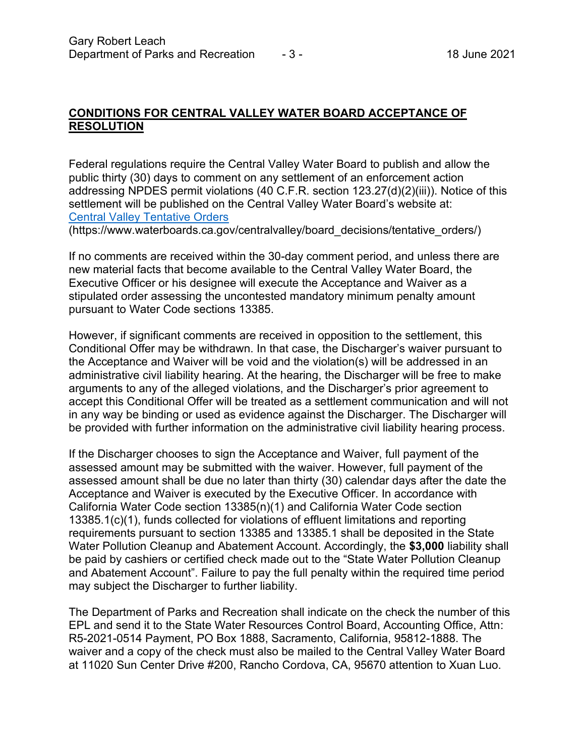### **CONDITIONS FOR CENTRAL VALLEY WATER BOARD ACCEPTANCE OF RESOLUTION**

Federal regulations require the Central Valley Water Board to publish and allow the public thirty (30) days to comment on any settlement of an enforcement action addressing NPDES permit violations (40 C.F.R. section 123.27(d)(2)(iii)). Notice of this settlement will be published on the Central Valley Water Board's website at: [Central Valley Tentative Orders](https://www.waterboards.ca.gov/centralvalley/board_decisions/tentative_orders/)

(https://www.waterboards.ca.gov/centralvalley/board\_decisions/tentative\_orders/)

If no comments are received within the 30-day comment period, and unless there are new material facts that become available to the Central Valley Water Board, the Executive Officer or his designee will execute the Acceptance and Waiver as a stipulated order assessing the uncontested mandatory minimum penalty amount pursuant to Water Code sections 13385.

However, if significant comments are received in opposition to the settlement, this Conditional Offer may be withdrawn. In that case, the Discharger's waiver pursuant to the Acceptance and Waiver will be void and the violation(s) will be addressed in an administrative civil liability hearing. At the hearing, the Discharger will be free to make arguments to any of the alleged violations, and the Discharger's prior agreement to accept this Conditional Offer will be treated as a settlement communication and will not in any way be binding or used as evidence against the Discharger. The Discharger will be provided with further information on the administrative civil liability hearing process.

If the Discharger chooses to sign the Acceptance and Waiver, full payment of the assessed amount may be submitted with the waiver. However, full payment of the assessed amount shall be due no later than thirty (30) calendar days after the date the Acceptance and Waiver is executed by the Executive Officer. In accordance with California Water Code section 13385(n)(1) and California Water Code section 13385.1(c)(1), funds collected for violations of effluent limitations and reporting requirements pursuant to section 13385 and 13385.1 shall be deposited in the State Water Pollution Cleanup and Abatement Account. Accordingly, the **\$3,000** liability shall be paid by cashiers or certified check made out to the "State Water Pollution Cleanup and Abatement Account". Failure to pay the full penalty within the required time period may subject the Discharger to further liability.

The Department of Parks and Recreation shall indicate on the check the number of this EPL and send it to the State Water Resources Control Board, Accounting Office, Attn: R5-2021-0514 Payment, PO Box 1888, Sacramento, California, 95812-1888. The waiver and a copy of the check must also be mailed to the Central Valley Water Board at 11020 Sun Center Drive #200, Rancho Cordova, CA, 95670 attention to Xuan Luo.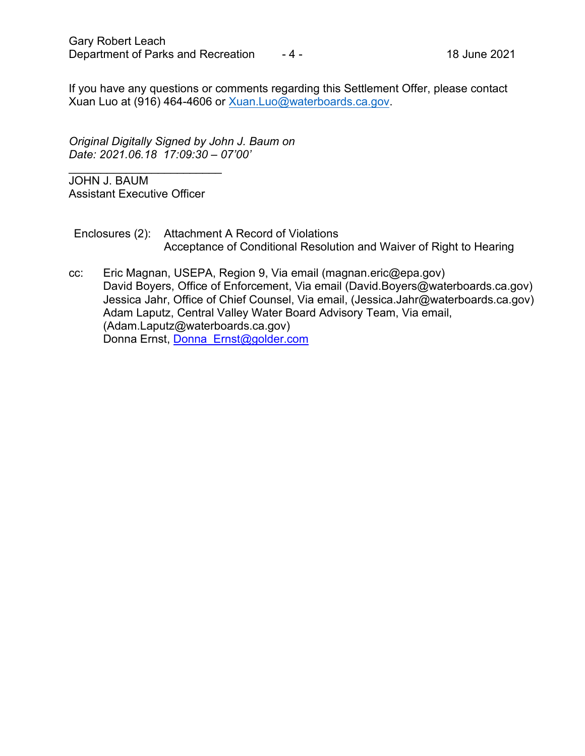If you have any questions or comments regarding this Settlement Offer, please contact Xuan Luo at (916) 464-4606 or [Xuan.Luo@waterboards.ca.gov.](mailto:Xuan.Luo@waterboards.ca.gov)

*Original Digitally Signed by John J. Baum on Date: 2021.06.18 17:09:30 – 07'00'*

\_\_\_\_\_\_\_\_\_\_\_\_\_\_\_\_\_\_\_\_\_\_\_\_ JOHN J. BAUM Assistant Executive Officer

Enclosures (2): Attachment A Record of Violations Acceptance of Conditional Resolution and Waiver of Right to Hearing

cc: Eric Magnan, USEPA, Region 9, Via email (magnan.eric@epa.gov) David Boyers, Office of Enforcement, Via email (David.Boyers@waterboards.ca.gov) Jessica Jahr, Office of Chief Counsel, Via email, (Jessica.Jahr@waterboards.ca.gov) Adam Laputz, Central Valley Water Board Advisory Team, Via email, (Adam.Laputz@waterboards.ca.gov) Donna Ernst, [Donna\\_Ernst@golder.com](mailto:Donna_Ernst@golder.com)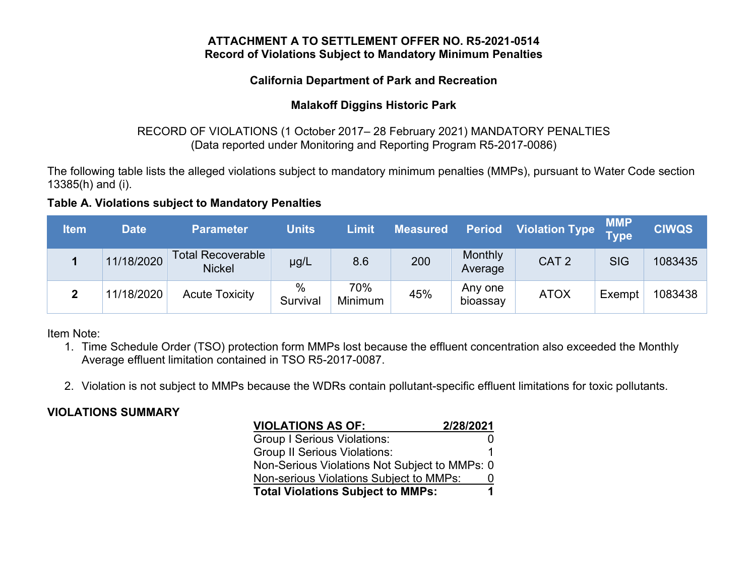#### **ATTACHMENT A TO SETTLEMENT OFFER NO. R5-2021-0514 Record of Violations Subject to Mandatory Minimum Penalties**

## **California Department of Park and Recreation**

# **Malakoff Diggins Historic Park**

# RECORD OF VIOLATIONS (1 October 2017– 28 February 2021) MANDATORY PENALTIES (Data reported under Monitoring and Reporting Program R5-2017-0086)

The following table lists the alleged violations subject to mandatory minimum penalties (MMPs), pursuant to Water Code section 13385(h) and (i).

# **Table A. Violations subject to Mandatory Penalties**

| <b>Item</b> | <b>Date</b> | Parameter                                 | <b>Units</b>  | Limit          | <b>Measured</b> | <b>Period</b>       | Violation Type   | <b>MMP</b><br>Type | <b>CIWQS</b> |
|-------------|-------------|-------------------------------------------|---------------|----------------|-----------------|---------------------|------------------|--------------------|--------------|
|             | 11/18/2020  | <b>Total Recoverable</b><br><b>Nickel</b> | µg/L          | 8.6            | 200             | Monthly<br>Average  | CAT <sub>2</sub> | <b>SIG</b>         | 1083435      |
| າ           | 11/18/2020  | <b>Acute Toxicity</b>                     | %<br>Survival | 70%<br>Minimum | 45%             | Any one<br>bioassay | <b>ATOX</b>      | Exempt             | 1083438      |

Item Note:

- 1. Time Schedule Order (TSO) protection form MMPs lost because the effluent concentration also exceeded the Monthly Average effluent limitation contained in TSO R5-2017-0087.
- 2. Violation is not subject to MMPs because the WDRs contain pollutant-specific effluent limitations for toxic pollutants.

# **VIOLATIONS SUMMARY**

| <b>VIOLATIONS AS OF:</b>                      | 2/28/2021 |  |  |  |  |
|-----------------------------------------------|-----------|--|--|--|--|
| <b>Group I Serious Violations:</b>            |           |  |  |  |  |
| <b>Group II Serious Violations:</b>           |           |  |  |  |  |
| Non-Serious Violations Not Subject to MMPs: 0 |           |  |  |  |  |
| Non-serious Violations Subject to MMPs:       | O         |  |  |  |  |
| <b>Total Violations Subject to MMPs:</b>      |           |  |  |  |  |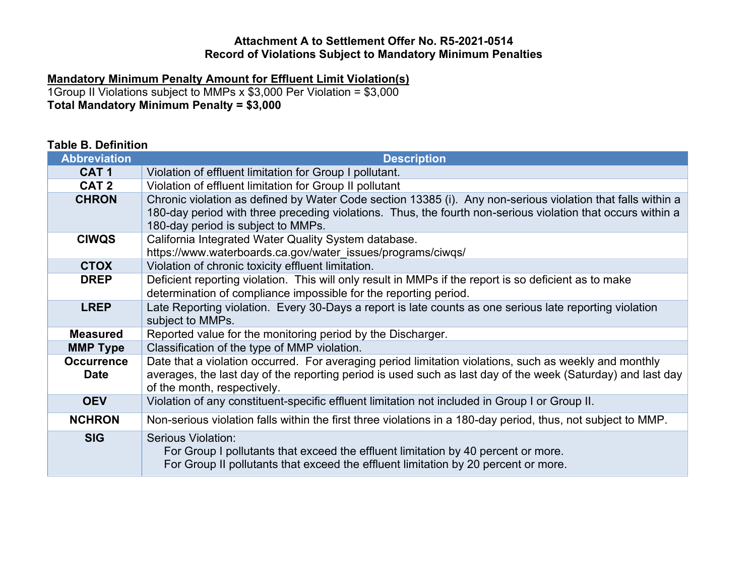#### **Attachment A to Settlement Offer No. R5-2021-0514 Record of Violations Subject to Mandatory Minimum Penalties**

#### **Mandatory Minimum Penalty Amount for Effluent Limit Violation(s)**

1Group II Violations subject to MMPs x \$3,000 Per Violation = \$3,000 **Total Mandatory Minimum Penalty = \$3,000**

#### **Table B. Definition Abbreviation Description CAT 1** Violation of effluent limitation for Group I pollutant. **CAT 2** Violation of effluent limitation for Group II pollutant **CHRON** Chronic violation as defined by Water Code section 13385 (i). Any non-serious violation that falls within a 180-day period with three preceding violations. Thus, the fourth non-serious violation that occurs within a 180-day period is subject to MMPs. **CIWQS** | California Integrated Water Quality System database. https://www.waterboards.ca.gov/water\_issues/programs/ciwqs/ **CTOX** Violation of chronic toxicity effluent limitation. **DREP** Deficient reporting violation. This will only result in MMPs if the report is so deficient as to make determination of compliance impossible for the reporting period. **LREP** Late Reporting violation. Every 30-Days a report is late counts as one serious late reporting violation subject to MMPs. **Measured** Reported value for the monitoring period by the Discharger. **MMP Type** | Classification of the type of MMP violation. **Occurrence Date** Date that a violation occurred. For averaging period limitation violations, such as weekly and monthly averages, the last day of the reporting period is used such as last day of the week (Saturday) and last day of the month, respectively. **OEV** Violation of any constituent-specific effluent limitation not included in Group I or Group II. **NCHRON** Non-serious violation falls within the first three violations in a 180-day period, thus, not subject to MMP. **SIG** Serious Violation: For Group I pollutants that exceed the effluent limitation by 40 percent or more. For Group II pollutants that exceed the effluent limitation by 20 percent or more.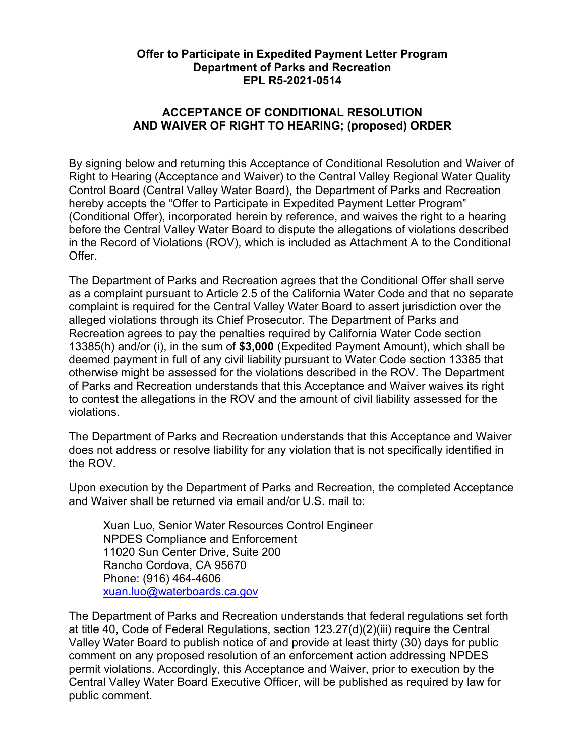### **Offer to Participate in Expedited Payment Letter Program Department of Parks and Recreation EPL R5-2021-0514**

# **ACCEPTANCE OF CONDITIONAL RESOLUTION AND WAIVER OF RIGHT TO HEARING; (proposed) ORDER**

By signing below and returning this Acceptance of Conditional Resolution and Waiver of Right to Hearing (Acceptance and Waiver) to the Central Valley Regional Water Quality Control Board (Central Valley Water Board), the Department of Parks and Recreation hereby accepts the "Offer to Participate in Expedited Payment Letter Program" (Conditional Offer), incorporated herein by reference, and waives the right to a hearing before the Central Valley Water Board to dispute the allegations of violations described in the Record of Violations (ROV), which is included as Attachment A to the Conditional Offer.

The Department of Parks and Recreation agrees that the Conditional Offer shall serve as a complaint pursuant to Article 2.5 of the California Water Code and that no separate complaint is required for the Central Valley Water Board to assert jurisdiction over the alleged violations through its Chief Prosecutor. The Department of Parks and Recreation agrees to pay the penalties required by California Water Code section 13385(h) and/or (i), in the sum of **\$3,000** (Expedited Payment Amount), which shall be deemed payment in full of any civil liability pursuant to Water Code section 13385 that otherwise might be assessed for the violations described in the ROV. The Department of Parks and Recreation understands that this Acceptance and Waiver waives its right to contest the allegations in the ROV and the amount of civil liability assessed for the violations.

The Department of Parks and Recreation understands that this Acceptance and Waiver does not address or resolve liability for any violation that is not specifically identified in the ROV.

Upon execution by the Department of Parks and Recreation, the completed Acceptance and Waiver shall be returned via email and/or U.S. mail to:

Xuan Luo, Senior Water Resources Control Engineer NPDES Compliance and Enforcement 11020 Sun Center Drive, Suite 200 Rancho Cordova, CA 95670 Phone: (916) 464-4606 [xuan.luo@waterboards.ca.gov](mailto:xuan.luo@waterboards.ca.gov)

The Department of Parks and Recreation understands that federal regulations set forth at title 40, Code of Federal Regulations, section 123.27(d)(2)(iii) require the Central Valley Water Board to publish notice of and provide at least thirty (30) days for public comment on any proposed resolution of an enforcement action addressing NPDES permit violations. Accordingly, this Acceptance and Waiver, prior to execution by the Central Valley Water Board Executive Officer, will be published as required by law for public comment.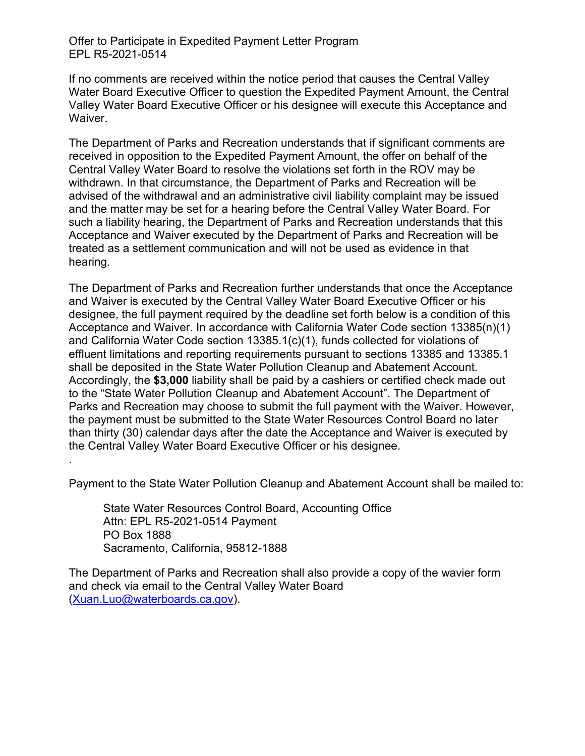Offer to Participate in Expedited Payment Letter Program EPL R5-2021-0514

If no comments are received within the notice period that causes the Central Valley Water Board Executive Officer to question the Expedited Payment Amount, the Central Valley Water Board Executive Officer or his designee will execute this Acceptance and Waiver.

The Department of Parks and Recreation understands that if significant comments are received in opposition to the Expedited Payment Amount, the offer on behalf of the Central Valley Water Board to resolve the violations set forth in the ROV may be withdrawn. In that circumstance, the Department of Parks and Recreation will be advised of the withdrawal and an administrative civil liability complaint may be issued and the matter may be set for a hearing before the Central Valley Water Board. For such a liability hearing, the Department of Parks and Recreation understands that this Acceptance and Waiver executed by the Department of Parks and Recreation will be treated as a settlement communication and will not be used as evidence in that hearing.

The Department of Parks and Recreation further understands that once the Acceptance and Waiver is executed by the Central Valley Water Board Executive Officer or his designee, the full payment required by the deadline set forth below is a condition of this Acceptance and Waiver. In accordance with California Water Code section 13385(n)(1) and California Water Code section 13385.1(c)(1), funds collected for violations of effluent limitations and reporting requirements pursuant to sections 13385 and 13385.1 shall be deposited in the State Water Pollution Cleanup and Abatement Account. Accordingly, the **\$3,000** liability shall be paid by a cashiers or certified check made out to the "State Water Pollution Cleanup and Abatement Account". The Department of Parks and Recreation may choose to submit the full payment with the Waiver. However, the payment must be submitted to the State Water Resources Control Board no later than thirty (30) calendar days after the date the Acceptance and Waiver is executed by the Central Valley Water Board Executive Officer or his designee.

Payment to the State Water Pollution Cleanup and Abatement Account shall be mailed to:

State Water Resources Control Board, Accounting Office Attn: EPL R5-2021-0514 Payment PO Box 1888 Sacramento, California, 95812-1888

.

The Department of Parks and Recreation shall also provide a copy of the wavier form and check via email to the Central Valley Water Board ([Xuan.Luo@waterboards.ca.gov](mailto:Xuan.Luo@waterboards.ca.gov)).